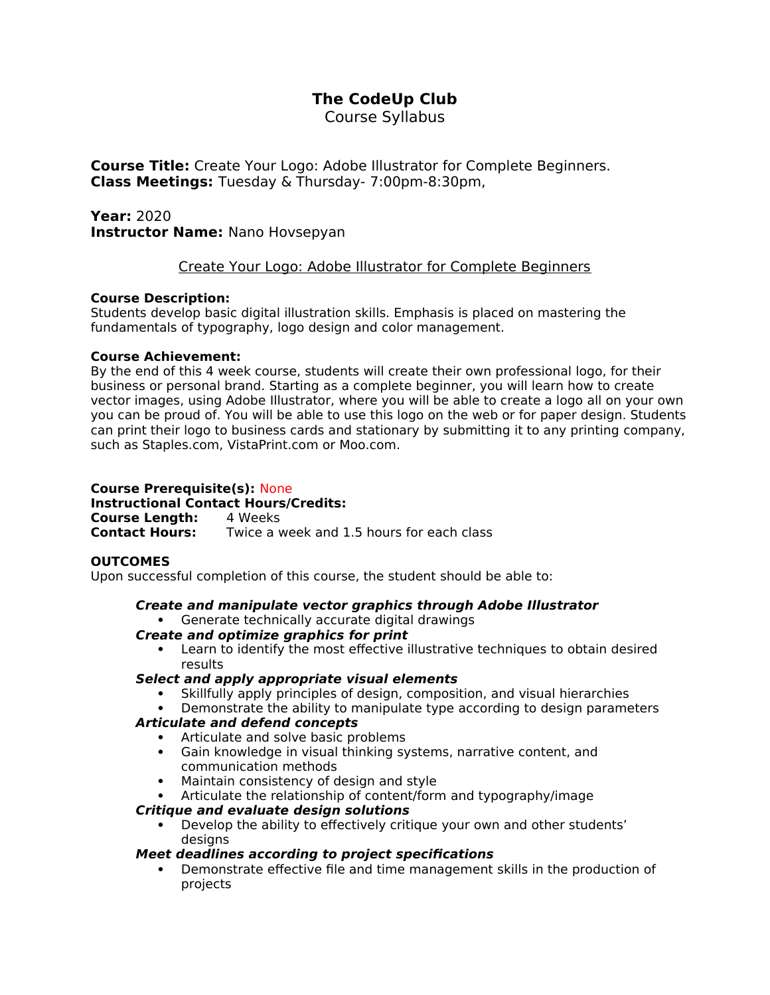# **The CodeUp Club**

Course Syllabus

**Course Title:** Create Your Logo: Adobe Illustrator for Complete Beginners. **Class Meetings:** Tuesday & Thursday- 7:00pm-8:30pm,

**Year:** 2020 **Instructor Name:** Nano Hovsepyan

# Create Your Logo: Adobe Illustrator for Complete Beginners

### **Course Description:**

Students develop basic digital illustration skills. Emphasis is placed on mastering the fundamentals of typography, logo design and color management.

### **Course Achievement:**

By the end of this 4 week course, students will create their own professional logo, for their business or personal brand. Starting as a complete beginner, you will learn how to create vector images, using Adobe Illustrator, where you will be able to create a logo all on your own you can be proud of. You will be able to use this logo on the web or for paper design. Students can print their logo to business cards and stationary by submitting it to any printing company, such as Staples.com, VistaPrint.com or Moo.com.

# **Course Prerequisite(s):** None

**Instructional Contact Hours/Credits: Course Length:** 4 Weeks<br>**Contact Hours:** Twice a v Twice a week and 1.5 hours for each class

#### **OUTCOMES**

Upon successful completion of this course, the student should be able to:

#### **Create and manipulate vector graphics through Adobe Illustrator** Generate technically accurate digital drawings

## **Create and optimize graphics for print**

 Learn to identify the most effective illustrative techniques to obtain desired results

#### **Select and apply appropriate visual elements**

- Skillfully apply principles of design, composition, and visual hierarchies
- Demonstrate the ability to manipulate type according to design parameters

## **Articulate and defend concepts**

- Articulate and solve basic problems
- Gain knowledge in visual thinking systems, narrative content, and communication methods
- Maintain consistency of design and style
- Articulate the relationship of content/form and typography/image

## **Critique and evaluate design solutions**

 Develop the ability to effectively critique your own and other students' desians

## **Meet deadlines according to project specifications**

 Demonstrate effective file and time management skills in the production of projects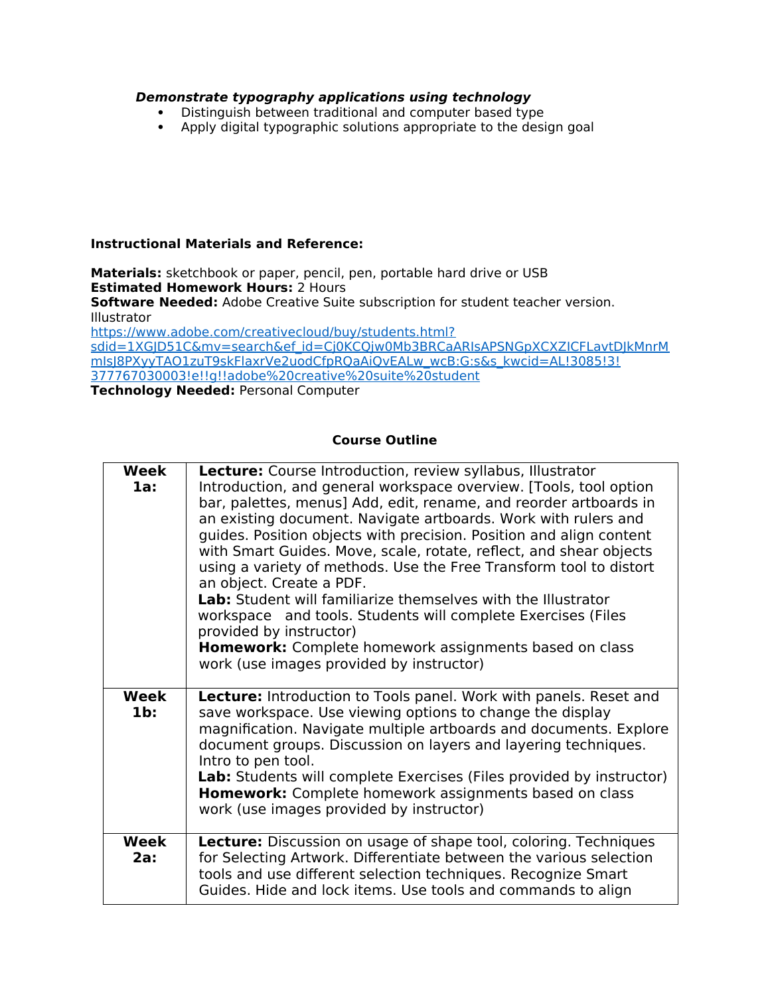### **Demonstrate typography applications using technology**

- Distinguish between traditional and computer based type<br>• Apply digital typographic solutions appropriate to the desi
- Apply digital typographic solutions appropriate to the design goal

#### **Instructional Materials and Reference:**

**Materials:** sketchbook or paper, pencil, pen, portable hard drive or USB **Estimated Homework Hours:** 2 Hours **Software Needed:** Adobe Creative Suite subscription for student teacher version. Illustrator [https://www.adobe.com/creativecloud/buy/students.html?](https://www.adobe.com/creativecloud/buy/students.html?sdid=1XGJD51C&mv=search&ef_id=Cj0KCQjw0Mb3BRCaARIsAPSNGpXCXZICFLavtDJkMnrMmIsJ8PXyyTAO1zuT9skFlaxrVe2uodCfpRQaAiQvEALw_wcB:G:s&s_kwcid=AL!3085!3!377767030003!e!!g!!adobe%20creative%20suite%20student) [sdid=1XGJD51C&mv=search&ef\\_id=Cj0KCQjw0Mb3BRCaARIsAPSNGpXCXZICFLavtDJkMnrM](https://www.adobe.com/creativecloud/buy/students.html?sdid=1XGJD51C&mv=search&ef_id=Cj0KCQjw0Mb3BRCaARIsAPSNGpXCXZICFLavtDJkMnrMmIsJ8PXyyTAO1zuT9skFlaxrVe2uodCfpRQaAiQvEALw_wcB:G:s&s_kwcid=AL!3085!3!377767030003!e!!g!!adobe%20creative%20suite%20student) mIsJ8PXyyTAO1zuT9skFlaxrVe2uodCfpRQaAiQvEALw\_wcB:G:s&s\_kwcid=AL!3085!3! [377767030003!e!!g!!adobe%20creative%20suite%20student](https://www.adobe.com/creativecloud/buy/students.html?sdid=1XGJD51C&mv=search&ef_id=Cj0KCQjw0Mb3BRCaARIsAPSNGpXCXZICFLavtDJkMnrMmIsJ8PXyyTAO1zuT9skFlaxrVe2uodCfpRQaAiQvEALw_wcB:G:s&s_kwcid=AL!3085!3!377767030003!e!!g!!adobe%20creative%20suite%20student) **Technology Needed:** Personal Computer

**Course Outline** 

| Week<br>1a:           | <b>Lecture:</b> Course Introduction, review syllabus, Illustrator<br>Introduction, and general workspace overview. [Tools, tool option<br>bar, palettes, menus] Add, edit, rename, and reorder artboards in<br>an existing document. Navigate artboards. Work with rulers and<br>guides. Position objects with precision. Position and align content<br>with Smart Guides. Move, scale, rotate, reflect, and shear objects<br>using a variety of methods. Use the Free Transform tool to distort<br>an object. Create a PDF.<br>Lab: Student will familiarize themselves with the Illustrator<br>workspace and tools. Students will complete Exercises (Files<br>provided by instructor)<br><b>Homework:</b> Complete homework assignments based on class<br>work (use images provided by instructor) |
|-----------------------|-------------------------------------------------------------------------------------------------------------------------------------------------------------------------------------------------------------------------------------------------------------------------------------------------------------------------------------------------------------------------------------------------------------------------------------------------------------------------------------------------------------------------------------------------------------------------------------------------------------------------------------------------------------------------------------------------------------------------------------------------------------------------------------------------------|
| <b>Week</b><br>$1b$ : | Lecture: Introduction to Tools panel. Work with panels. Reset and<br>save workspace. Use viewing options to change the display<br>magnification. Navigate multiple artboards and documents. Explore<br>document groups. Discussion on layers and layering techniques.<br>Intro to pen tool.<br>Lab: Students will complete Exercises (Files provided by instructor)<br>Homework: Complete homework assignments based on class<br>work (use images provided by instructor)                                                                                                                                                                                                                                                                                                                             |
| Week<br>2a:           | <b>Lecture:</b> Discussion on usage of shape tool, coloring. Techniques<br>for Selecting Artwork. Differentiate between the various selection<br>tools and use different selection techniques. Recognize Smart<br>Guides. Hide and lock items. Use tools and commands to align                                                                                                                                                                                                                                                                                                                                                                                                                                                                                                                        |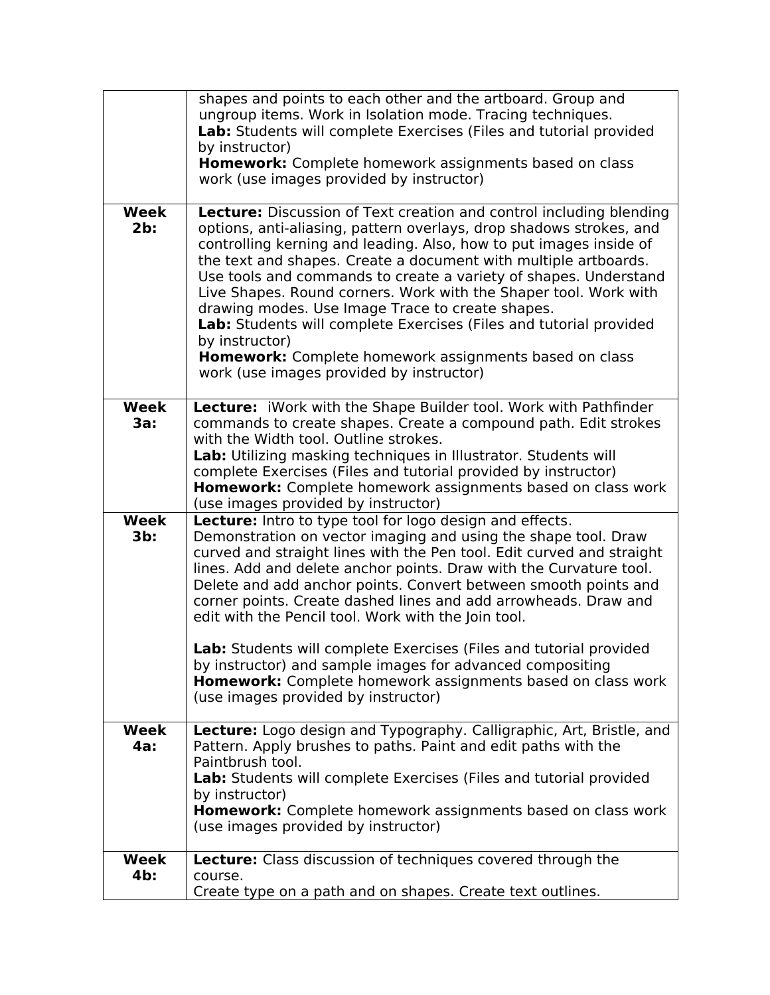|                       | shapes and points to each other and the artboard. Group and<br>ungroup items. Work in Isolation mode. Tracing techniques.<br>Lab: Students will complete Exercises (Files and tutorial provided<br>by instructor)<br>Homework: Complete homework assignments based on class<br>work (use images provided by instructor)                                                                                                                                                                                                                                                                                                                                                       |
|-----------------------|-------------------------------------------------------------------------------------------------------------------------------------------------------------------------------------------------------------------------------------------------------------------------------------------------------------------------------------------------------------------------------------------------------------------------------------------------------------------------------------------------------------------------------------------------------------------------------------------------------------------------------------------------------------------------------|
| <b>Week</b><br>$2b$ : | Lecture: Discussion of Text creation and control including blending<br>options, anti-aliasing, pattern overlays, drop shadows strokes, and<br>controlling kerning and leading. Also, how to put images inside of<br>the text and shapes. Create a document with multiple artboards.<br>Use tools and commands to create a variety of shapes. Understand<br>Live Shapes. Round corners. Work with the Shaper tool. Work with<br>drawing modes. Use Image Trace to create shapes.<br>Lab: Students will complete Exercises (Files and tutorial provided<br>by instructor)<br>Homework: Complete homework assignments based on class<br>work (use images provided by instructor) |
| <b>Week</b><br>3a:    | Lecture: iWork with the Shape Builder tool. Work with Pathfinder<br>commands to create shapes. Create a compound path. Edit strokes<br>with the Width tool. Outline strokes.<br>Lab: Utilizing masking techniques in Illustrator. Students will<br>complete Exercises (Files and tutorial provided by instructor)<br>Homework: Complete homework assignments based on class work<br>(use images provided by instructor)                                                                                                                                                                                                                                                       |
| <b>Week</b><br>$3b$ : | Lecture: Intro to type tool for logo design and effects.<br>Demonstration on vector imaging and using the shape tool. Draw<br>curved and straight lines with the Pen tool. Edit curved and straight<br>lines. Add and delete anchor points. Draw with the Curvature tool.<br>Delete and add anchor points. Convert between smooth points and<br>corner points. Create dashed lines and add arrowheads. Draw and<br>edit with the Pencil tool. Work with the Join tool.                                                                                                                                                                                                        |
|                       | Lab: Students will complete Exercises (Files and tutorial provided<br>by instructor) and sample images for advanced compositing<br>Homework: Complete homework assignments based on class work<br>(use images provided by instructor)                                                                                                                                                                                                                                                                                                                                                                                                                                         |
| Week<br>4a:           | Lecture: Logo design and Typography. Calligraphic, Art, Bristle, and<br>Pattern. Apply brushes to paths. Paint and edit paths with the<br>Paintbrush tool.<br>Lab: Students will complete Exercises (Files and tutorial provided<br>by instructor)<br>Homework: Complete homework assignments based on class work<br>(use images provided by instructor)                                                                                                                                                                                                                                                                                                                      |
| <b>Week</b><br>$4b$ : | Lecture: Class discussion of techniques covered through the<br>course.<br>Create type on a path and on shapes. Create text outlines.                                                                                                                                                                                                                                                                                                                                                                                                                                                                                                                                          |